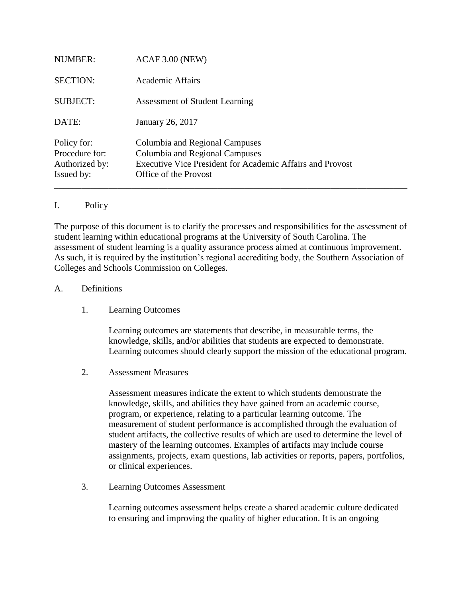| Issued by:      | Office of the Provost                                            |  |  |
|-----------------|------------------------------------------------------------------|--|--|
| Authorized by:  | <b>Executive Vice President for Academic Affairs and Provost</b> |  |  |
| Procedure for:  | Columbia and Regional Campuses                                   |  |  |
| Policy for:     | Columbia and Regional Campuses                                   |  |  |
| DATE:           | January 26, 2017                                                 |  |  |
| <b>SUBJECT:</b> | <b>Assessment of Student Learning</b>                            |  |  |
| <b>SECTION:</b> | Academic Affairs                                                 |  |  |
|                 |                                                                  |  |  |
| <b>NUMBER:</b>  | ACAF 3.00 (NEW)                                                  |  |  |

## I. Policy

The purpose of this document is to clarify the processes and responsibilities for the assessment of student learning within educational programs at the University of South Carolina. The assessment of student learning is a quality assurance process aimed at continuous improvement. As such, it is required by the institution's regional accrediting body, the Southern Association of Colleges and Schools Commission on Colleges.

## A. Definitions

1. Learning Outcomes

Learning outcomes are statements that describe, in measurable terms, the knowledge, skills, and/or abilities that students are expected to demonstrate. Learning outcomes should clearly support the mission of the educational program.

2. Assessment Measures

Assessment measures indicate the extent to which students demonstrate the knowledge, skills, and abilities they have gained from an academic course, program, or experience, relating to a particular learning outcome. The measurement of student performance is accomplished through the evaluation of student artifacts, the collective results of which are used to determine the level of mastery of the learning outcomes. Examples of artifacts may include course assignments, projects, exam questions, lab activities or reports, papers, portfolios, or clinical experiences.

3. Learning Outcomes Assessment

Learning outcomes assessment helps create a shared academic culture dedicated to ensuring and improving the quality of higher education. It is an ongoing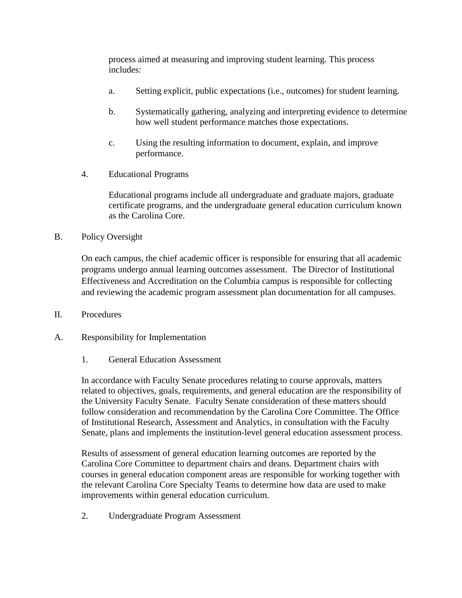process aimed at measuring and improving student learning. This process includes:

- a. Setting explicit, public expectations (i.e., outcomes) for student learning.
- b. Systematically gathering, analyzing and interpreting evidence to determine how well student performance matches those expectations.
- c. Using the resulting information to document, explain, and improve performance.
- 4. Educational Programs

Educational programs include all undergraduate and graduate majors, graduate certificate programs, and the undergraduate general education curriculum known as the Carolina Core.

B. Policy Oversight

On each campus, the chief academic officer is responsible for ensuring that all academic programs undergo annual learning outcomes assessment. The Director of Institutional Effectiveness and Accreditation on the Columbia campus is responsible for collecting and reviewing the academic program assessment plan documentation for all campuses.

- II. Procedures
- A. Responsibility for Implementation
	- 1. General Education Assessment

In accordance with Faculty Senate procedures relating to course approvals, matters related to objectives, goals, requirements, and general education are the responsibility of the University Faculty Senate. Faculty Senate consideration of these matters should follow consideration and recommendation by the Carolina Core Committee. The Office of Institutional Research, Assessment and Analytics, in consultation with the Faculty Senate, plans and implements the institution-level general education assessment process.

Results of assessment of general education learning outcomes are reported by the Carolina Core Committee to department chairs and deans. Department chairs with courses in general education component areas are responsible for working together with the relevant Carolina Core Specialty Teams to determine how data are used to make improvements within general education curriculum.

2. Undergraduate Program Assessment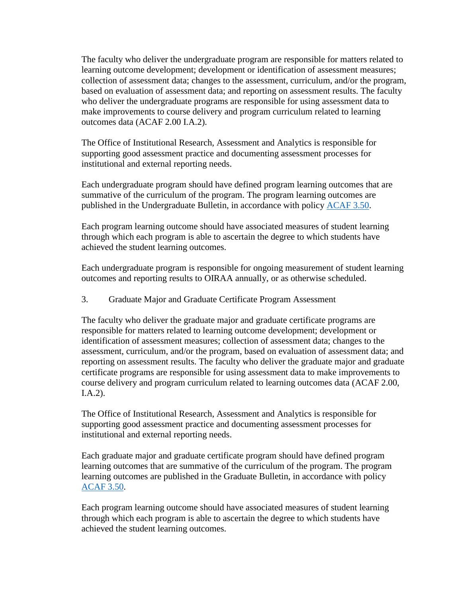The faculty who deliver the undergraduate program are responsible for matters related to learning outcome development; development or identification of assessment measures; collection of assessment data; changes to the assessment, curriculum, and/or the program, based on evaluation of assessment data; and reporting on assessment results. The faculty who deliver the undergraduate programs are responsible for using assessment data to make improvements to course delivery and program curriculum related to learning outcomes data (ACAF 2.00 I.A.2).

The Office of Institutional Research, Assessment and Analytics is responsible for supporting good assessment practice and documenting assessment processes for institutional and external reporting needs.

Each undergraduate program should have defined program learning outcomes that are summative of the curriculum of the program. The program learning outcomes are published in the Undergraduate Bulletin, in accordance with policy [ACAF 3.50.](http://www.sc.edu/policies/ppm/acaf350.pdf)

Each program learning outcome should have associated measures of student learning through which each program is able to ascertain the degree to which students have achieved the student learning outcomes.

Each undergraduate program is responsible for ongoing measurement of student learning outcomes and reporting results to OIRAA annually, or as otherwise scheduled.

3. Graduate Major and Graduate Certificate Program Assessment

The faculty who deliver the graduate major and graduate certificate programs are responsible for matters related to learning outcome development; development or identification of assessment measures; collection of assessment data; changes to the assessment, curriculum, and/or the program, based on evaluation of assessment data; and reporting on assessment results. The faculty who deliver the graduate major and graduate certificate programs are responsible for using assessment data to make improvements to course delivery and program curriculum related to learning outcomes data (ACAF 2.00, I.A.2).

The Office of Institutional Research, Assessment and Analytics is responsible for supporting good assessment practice and documenting assessment processes for institutional and external reporting needs.

Each graduate major and graduate certificate program should have defined program learning outcomes that are summative of the curriculum of the program. The program learning outcomes are published in the Graduate Bulletin, in accordance with policy [ACAF 3.50.](http://www.sc.edu/policies/ppm/acaf350.pdf)

Each program learning outcome should have associated measures of student learning through which each program is able to ascertain the degree to which students have achieved the student learning outcomes.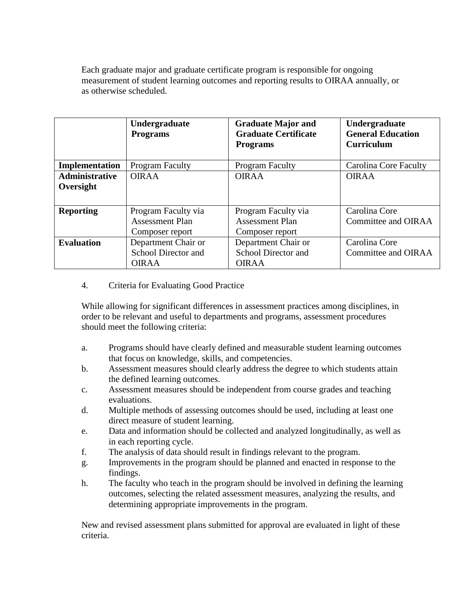Each graduate major and graduate certificate program is responsible for ongoing measurement of student learning outcomes and reporting results to OIRAA annually, or as otherwise scheduled.

|                       | Undergraduate<br><b>Programs</b> | <b>Graduate Major and</b><br><b>Graduate Certificate</b><br><b>Programs</b> | Undergraduate<br><b>General Education</b><br><b>Curriculum</b> |
|-----------------------|----------------------------------|-----------------------------------------------------------------------------|----------------------------------------------------------------|
| Implementation        | <b>Program Faculty</b>           | <b>Program Faculty</b>                                                      | Carolina Core Faculty                                          |
| <b>Administrative</b> | <b>OIRAA</b>                     | <b>OIRAA</b>                                                                | <b>OIRAA</b>                                                   |
| Oversight             |                                  |                                                                             |                                                                |
| <b>Reporting</b>      | Program Faculty via              | Program Faculty via                                                         | Carolina Core                                                  |
|                       | <b>Assessment Plan</b>           | <b>Assessment Plan</b>                                                      | Committee and OIRAA                                            |
|                       | Composer report                  | Composer report                                                             |                                                                |
| <b>Evaluation</b>     | Department Chair or              | Department Chair or                                                         | Carolina Core                                                  |
|                       | School Director and              | School Director and                                                         | Committee and OIRAA                                            |
|                       | <b>OIRAA</b>                     | <b>OIRAA</b>                                                                |                                                                |

## 4. Criteria for Evaluating Good Practice

While allowing for significant differences in assessment practices among disciplines, in order to be relevant and useful to departments and programs, assessment procedures should meet the following criteria:

- a. Programs should have clearly defined and measurable student learning outcomes that focus on knowledge, skills, and competencies.
- b. Assessment measures should clearly address the degree to which students attain the defined learning outcomes.
- c. Assessment measures should be independent from course grades and teaching evaluations.
- d. Multiple methods of assessing outcomes should be used, including at least one direct measure of student learning.
- e. Data and information should be collected and analyzed longitudinally, as well as in each reporting cycle.
- f. The analysis of data should result in findings relevant to the program.
- g. Improvements in the program should be planned and enacted in response to the findings.
- h. The faculty who teach in the program should be involved in defining the learning outcomes, selecting the related assessment measures, analyzing the results, and determining appropriate improvements in the program.

New and revised assessment plans submitted for approval are evaluated in light of these criteria.